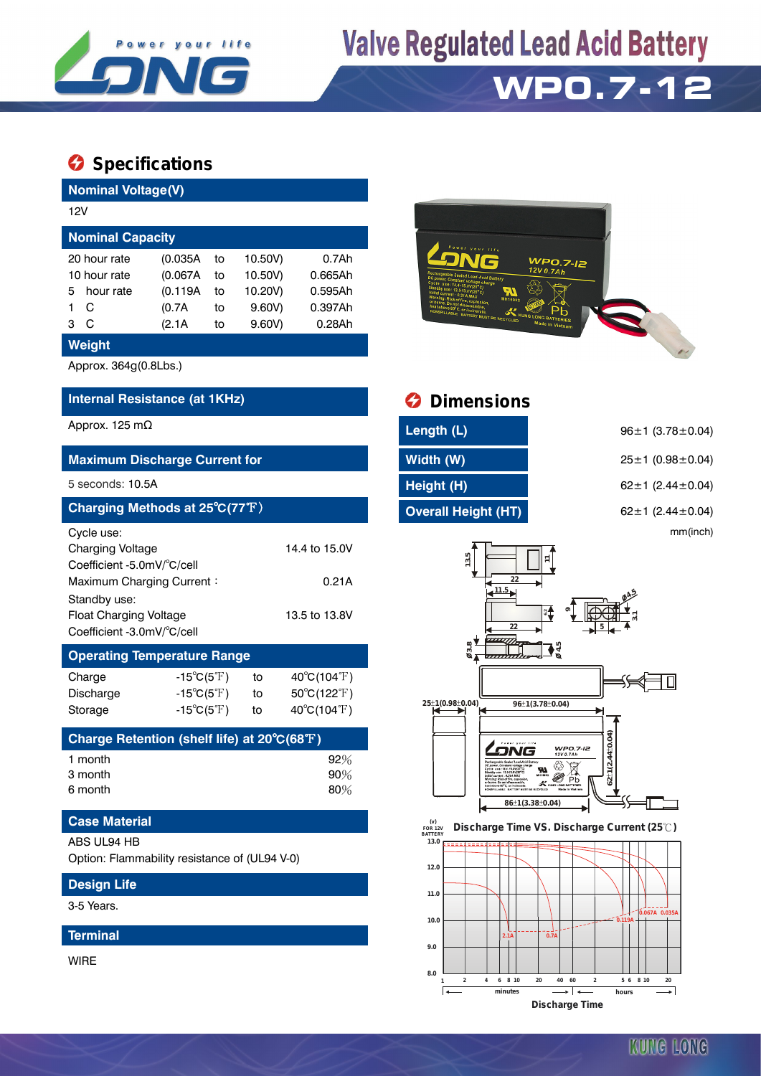

## **Valve Regulated Lead Acid Battery**

## **WP0.7-12**

### $\bullet$  Specifications

**Design Life** 3-5 Years.

**Terminal**

WIRE

| <b>Nominal Voltage(V)</b>                                                    |               |                                  |         |                             |  |  |  |  |
|------------------------------------------------------------------------------|---------------|----------------------------------|---------|-----------------------------|--|--|--|--|
| 12V                                                                          |               |                                  |         |                             |  |  |  |  |
| <b>Nominal Capacity</b>                                                      |               |                                  |         |                             |  |  |  |  |
| 20 hour rate                                                                 | (0.035A)      | 10.50V)                          | 0.7Ah   |                             |  |  |  |  |
| 10 hour rate                                                                 | (0.067A)      | to                               | 10.50V) | 0.665Ah                     |  |  |  |  |
| hour rate<br>5                                                               | (0.119A)      | to                               | 10.20V) | 0.595Ah                     |  |  |  |  |
| 1<br>С                                                                       | (0.7A)        | to                               | 9.60V)  | 0.397Ah                     |  |  |  |  |
| С<br>3                                                                       | (2.1A)        | to                               | 9.60V)  | 0.28Ah                      |  |  |  |  |
| Weight                                                                       |               |                                  |         |                             |  |  |  |  |
| Approx. 364g(0.8Lbs.)                                                        |               |                                  |         |                             |  |  |  |  |
| Internal Resistance (at 1KHz)                                                |               |                                  |         |                             |  |  |  |  |
| Approx. 125 m $\Omega$                                                       |               |                                  |         |                             |  |  |  |  |
| <b>Maximum Discharge Current for</b>                                         |               |                                  |         |                             |  |  |  |  |
| 5 seconds: 10.5A                                                             |               |                                  |         |                             |  |  |  |  |
| Charging Methods at 25°C(77°F)                                               |               |                                  |         |                             |  |  |  |  |
| Cycle use:                                                                   |               |                                  |         |                             |  |  |  |  |
| <b>Charging Voltage</b>                                                      | 14.4 to 15.0V |                                  |         |                             |  |  |  |  |
| Coefficient -5.0mV/°C/cell                                                   |               |                                  |         |                             |  |  |  |  |
| Maximum Charging Current:<br>0.21A                                           |               |                                  |         |                             |  |  |  |  |
| Standby use:                                                                 |               |                                  |         |                             |  |  |  |  |
| <b>Float Charging Voltage</b><br>13.5 to 13.8V<br>Coefficient -3.0mV/°C/cell |               |                                  |         |                             |  |  |  |  |
| <b>Operating Temperature Range</b>                                           |               |                                  |         |                             |  |  |  |  |
| Charge                                                                       |               | -15 $^{\circ}$ C(5 $^{\circ}$ F) | to      | $40^{\circ}C(104^{\circ}F)$ |  |  |  |  |
| Discharge                                                                    |               | $-15^{\circ}C(5^{\circ}F)$       | to      | $50^{\circ}C(122^{\circ}F)$ |  |  |  |  |
| Storage                                                                      |               | $-15^{\circ}C(5^{\circ}F)$       | to      | $40^{\circ}C(104^{\circ}F)$ |  |  |  |  |
| Charge Retention (shelf life) at 20°C(68°F)                                  |               |                                  |         |                             |  |  |  |  |
| 1 month                                                                      |               |                                  |         | 92%                         |  |  |  |  |
| 3 month                                                                      |               |                                  |         | 90%                         |  |  |  |  |
| 6 month                                                                      |               |                                  |         | 80%                         |  |  |  |  |
| <b>Case Material</b>                                                         |               |                                  |         |                             |  |  |  |  |
| ABS UL94 HB                                                                  |               |                                  |         |                             |  |  |  |  |
| Option: Flammability resistance of (UL94 V-0)                                |               |                                  |         |                             |  |  |  |  |



### *<u>Dimensions</u>*

#### 96±1 (3.78±0.04) **Maximum Discharge Current for Width (W)** 25±1 (0.98±0.04) 6 2 ± 1 $(2.44 \pm 0.04)$ **Charging Methods at 25**℃**(77**℉) **Overall Height (HT)** 62±1 (2.44±0.04) mm(inch)



 **FOR 12V BATTERY Discharge Time VS. Discharge Current (25℃)**